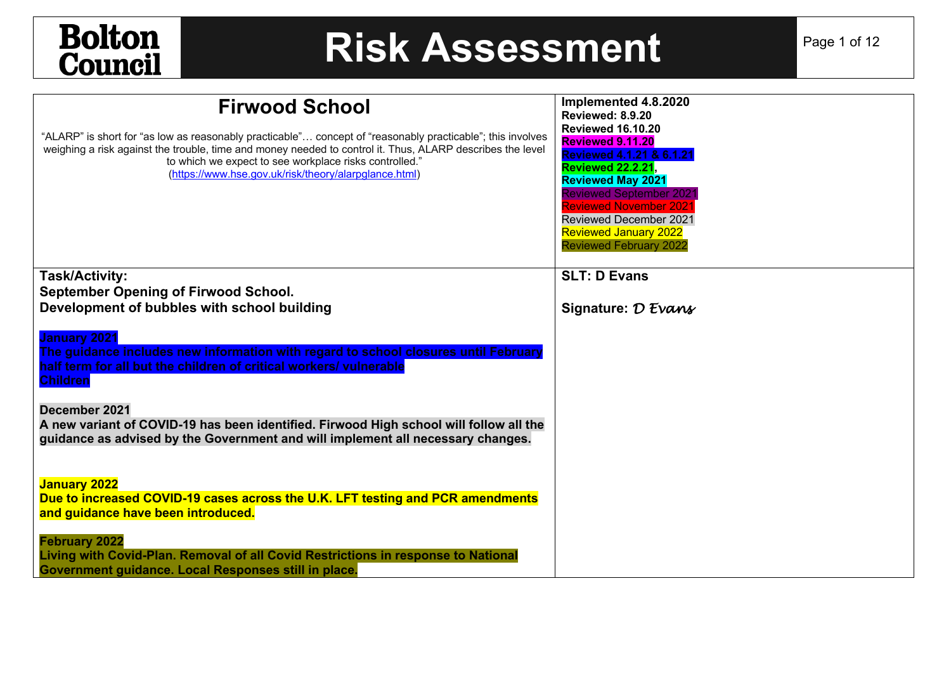## **Bolton**<br>**Council**

## **Risk Assessment** Page 1 of 12

| <b>Firwood School</b><br>"ALARP" is short for "as low as reasonably practicable" concept of "reasonably practicable"; this involves<br>weighing a risk against the trouble, time and money needed to control it. Thus, ALARP describes the level<br>to which we expect to see workplace risks controlled."<br>(https://www.hse.gov.uk/risk/theory/alarpglance.html)                               | Implemented 4.8.2020<br>Reviewed: 8.9.20<br><b>Reviewed 16.10.20</b><br>Reviewed 9.11.20<br>Reviewed 4.1.21 & 6.1.21<br><b>Reviewed 22.2.21,</b><br><b>Reviewed May 2021</b><br><b>Reviewed September 2021</b><br><b>Reviewed November 2021</b><br><b>Reviewed December 2021</b><br><b>Reviewed January 2022</b><br><b>Reviewed February 2022</b> |
|---------------------------------------------------------------------------------------------------------------------------------------------------------------------------------------------------------------------------------------------------------------------------------------------------------------------------------------------------------------------------------------------------|---------------------------------------------------------------------------------------------------------------------------------------------------------------------------------------------------------------------------------------------------------------------------------------------------------------------------------------------------|
| <b>Task/Activity:</b>                                                                                                                                                                                                                                                                                                                                                                             | <b>SLT: D Evans</b>                                                                                                                                                                                                                                                                                                                               |
| <b>September Opening of Firwood School.</b>                                                                                                                                                                                                                                                                                                                                                       |                                                                                                                                                                                                                                                                                                                                                   |
| Development of bubbles with school building                                                                                                                                                                                                                                                                                                                                                       | Signature: D Evans                                                                                                                                                                                                                                                                                                                                |
| <b>January 2021</b><br>The guidance includes new information with regard to school closures until February<br>half term for all but the children of critical workers/ vulnerable<br><b>Children</b><br>December 2021<br>A new variant of COVID-19 has been identified. Firwood High school will follow all the<br>guidance as advised by the Government and will implement all necessary changes. |                                                                                                                                                                                                                                                                                                                                                   |
| <b>January 2022</b><br>Due to increased COVID-19 cases across the U.K. LFT testing and PCR amendments<br>and guidance have been introduced.                                                                                                                                                                                                                                                       |                                                                                                                                                                                                                                                                                                                                                   |
| <b>February 2022</b><br>Living with Covid-Plan. Removal of all Covid Restrictions in response to National<br>Government guidance. Local Responses still in place.                                                                                                                                                                                                                                 |                                                                                                                                                                                                                                                                                                                                                   |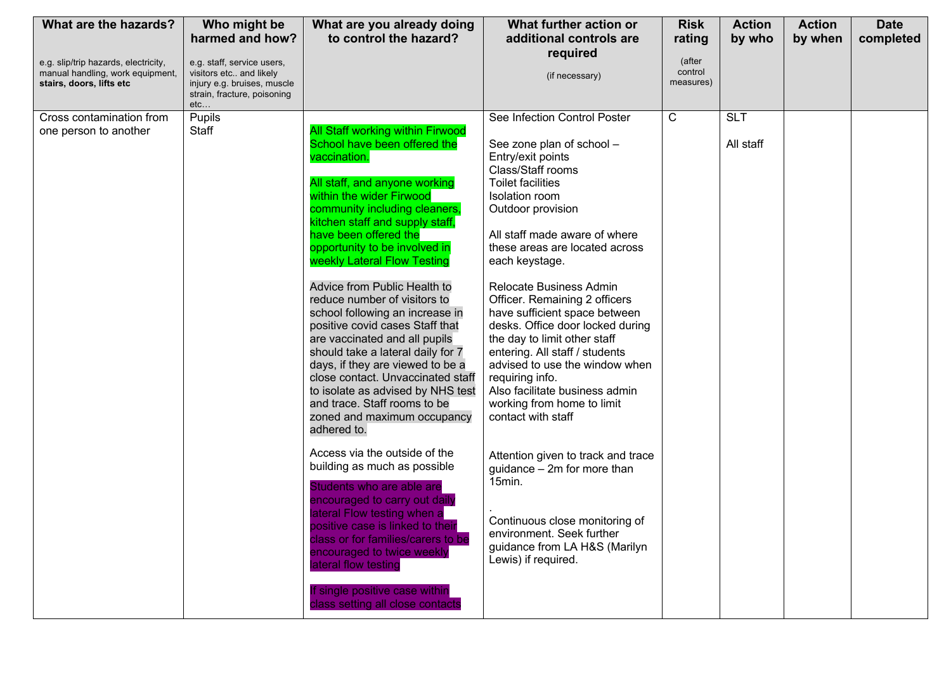| What are the hazards?                                                    | Who might be                                          | What are you already doing                                       | What further action or                                           | <b>Risk</b>  | <b>Action</b> | <b>Action</b> | <b>Date</b> |
|--------------------------------------------------------------------------|-------------------------------------------------------|------------------------------------------------------------------|------------------------------------------------------------------|--------------|---------------|---------------|-------------|
|                                                                          | harmed and how?                                       | to control the hazard?                                           | additional controls are                                          | rating       | by who        | by when       | completed   |
|                                                                          |                                                       |                                                                  | required                                                         | (after       |               |               |             |
| e.g. slip/trip hazards, electricity,<br>manual handling, work equipment, | e.g. staff, service users,<br>visitors etc and likely |                                                                  | (if necessary)                                                   | control      |               |               |             |
| stairs, doors, lifts etc                                                 | injury e.g. bruises, muscle                           |                                                                  |                                                                  | measures)    |               |               |             |
|                                                                          | strain, fracture, poisoning<br>etc                    |                                                                  |                                                                  |              |               |               |             |
| Cross contamination from                                                 | Pupils                                                |                                                                  | See Infection Control Poster                                     | $\mathsf{C}$ | <b>SLT</b>    |               |             |
| one person to another                                                    | Staff                                                 | <b>All Staff working within Firwood</b>                          |                                                                  |              |               |               |             |
|                                                                          |                                                       | School have been offered the                                     | See zone plan of school -                                        |              | All staff     |               |             |
|                                                                          |                                                       | vaccination.                                                     | Entry/exit points                                                |              |               |               |             |
|                                                                          |                                                       |                                                                  | Class/Staff rooms                                                |              |               |               |             |
|                                                                          |                                                       | All staff, and anyone working                                    | Toilet facilities                                                |              |               |               |             |
|                                                                          |                                                       | within the wider Firwood                                         | Isolation room                                                   |              |               |               |             |
|                                                                          |                                                       | community including cleaners,<br>kitchen staff and supply staff, | Outdoor provision                                                |              |               |               |             |
|                                                                          |                                                       | have been offered the                                            | All staff made aware of where                                    |              |               |               |             |
|                                                                          |                                                       | opportunity to be involved in                                    | these areas are located across                                   |              |               |               |             |
|                                                                          |                                                       | weekly Lateral Flow Testing                                      | each keystage.                                                   |              |               |               |             |
|                                                                          |                                                       |                                                                  |                                                                  |              |               |               |             |
|                                                                          |                                                       | Advice from Public Health to                                     | <b>Relocate Business Admin</b>                                   |              |               |               |             |
|                                                                          |                                                       | reduce number of visitors to                                     | Officer. Remaining 2 officers                                    |              |               |               |             |
|                                                                          |                                                       | school following an increase in                                  | have sufficient space between                                    |              |               |               |             |
|                                                                          |                                                       | positive covid cases Staff that<br>are vaccinated and all pupils | desks. Office door locked during<br>the day to limit other staff |              |               |               |             |
|                                                                          |                                                       | should take a lateral daily for 7                                | entering. All staff / students                                   |              |               |               |             |
|                                                                          |                                                       | days, if they are viewed to be a                                 | advised to use the window when                                   |              |               |               |             |
|                                                                          |                                                       | close contact. Unvaccinated staff                                | requiring info.                                                  |              |               |               |             |
|                                                                          |                                                       | to isolate as advised by NHS test                                | Also facilitate business admin                                   |              |               |               |             |
|                                                                          |                                                       | and trace. Staff rooms to be                                     | working from home to limit                                       |              |               |               |             |
|                                                                          |                                                       | zoned and maximum occupancy                                      | contact with staff                                               |              |               |               |             |
|                                                                          |                                                       | adhered to.                                                      |                                                                  |              |               |               |             |
|                                                                          |                                                       | Access via the outside of the                                    | Attention given to track and trace                               |              |               |               |             |
|                                                                          |                                                       | building as much as possible                                     | guidance - 2m for more than                                      |              |               |               |             |
|                                                                          |                                                       |                                                                  | 15min.                                                           |              |               |               |             |
|                                                                          |                                                       | Students who are able are                                        |                                                                  |              |               |               |             |
|                                                                          |                                                       | encouraged to carry out daily<br>lateral Flow testing when a     |                                                                  |              |               |               |             |
|                                                                          |                                                       | positive case is linked to their                                 | Continuous close monitoring of                                   |              |               |               |             |
|                                                                          |                                                       | class or for families/carers to be                               | environment. Seek further                                        |              |               |               |             |
|                                                                          |                                                       | encouraged to twice weekly                                       | guidance from LA H&S (Marilyn                                    |              |               |               |             |
|                                                                          |                                                       | lateral flow testing                                             | Lewis) if required.                                              |              |               |               |             |
|                                                                          |                                                       |                                                                  |                                                                  |              |               |               |             |
|                                                                          |                                                       | If single positive case within                                   |                                                                  |              |               |               |             |
|                                                                          |                                                       | class setting all close contacts                                 |                                                                  |              |               |               |             |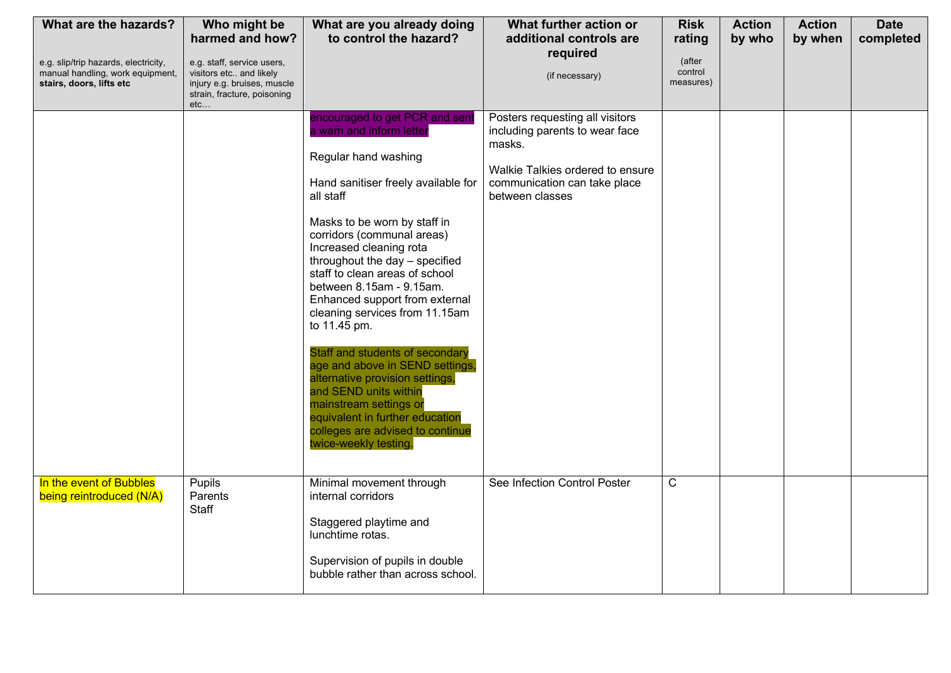| What are the hazards?                                                                                | Who might be<br>harmed and how?                                                                                            | What are you already doing<br>to control the hazard?                                                                                                                                                                                                                                                                                                                                                                                                                                                                                                                                                                                                                            | What further action or<br>additional controls are                                                                                                                  | <b>Risk</b><br>rating          | <b>Action</b><br>by who | <b>Action</b><br>by when | <b>Date</b><br>completed |
|------------------------------------------------------------------------------------------------------|----------------------------------------------------------------------------------------------------------------------------|---------------------------------------------------------------------------------------------------------------------------------------------------------------------------------------------------------------------------------------------------------------------------------------------------------------------------------------------------------------------------------------------------------------------------------------------------------------------------------------------------------------------------------------------------------------------------------------------------------------------------------------------------------------------------------|--------------------------------------------------------------------------------------------------------------------------------------------------------------------|--------------------------------|-------------------------|--------------------------|--------------------------|
| e.g. slip/trip hazards, electricity,<br>manual handling, work equipment,<br>stairs, doors, lifts etc | e.g. staff, service users,<br>visitors etc and likely<br>injury e.g. bruises, muscle<br>strain, fracture, poisoning<br>etc |                                                                                                                                                                                                                                                                                                                                                                                                                                                                                                                                                                                                                                                                                 | required<br>(if necessary)                                                                                                                                         | (after<br>control<br>measures) |                         |                          |                          |
|                                                                                                      |                                                                                                                            | encouraged to get PCR and sent<br>a warn and inform letter<br>Regular hand washing<br>Hand sanitiser freely available for<br>all staff<br>Masks to be worn by staff in<br>corridors (communal areas)<br>Increased cleaning rota<br>throughout the day - specified<br>staff to clean areas of school<br>between 8.15am - 9.15am.<br>Enhanced support from external<br>cleaning services from 11.15am<br>to 11.45 pm.<br>Staff and students of secondary<br>age and above in SEND settings,<br>alternative provision settings,<br>and SEND units within<br>mainstream settings or<br>equivalent in further education<br>colleges are advised to continue<br>twice-weekly testing. | Posters requesting all visitors<br>including parents to wear face<br>masks.<br>Walkie Talkies ordered to ensure<br>communication can take place<br>between classes |                                |                         |                          |                          |
| In the event of Bubbles<br>being reintroduced (N/A)                                                  | Pupils<br>Parents<br>Staff                                                                                                 | Minimal movement through<br>internal corridors<br>Staggered playtime and<br>lunchtime rotas.<br>Supervision of pupils in double<br>bubble rather than across school.                                                                                                                                                                                                                                                                                                                                                                                                                                                                                                            | See Infection Control Poster                                                                                                                                       | $\mathsf{C}$                   |                         |                          |                          |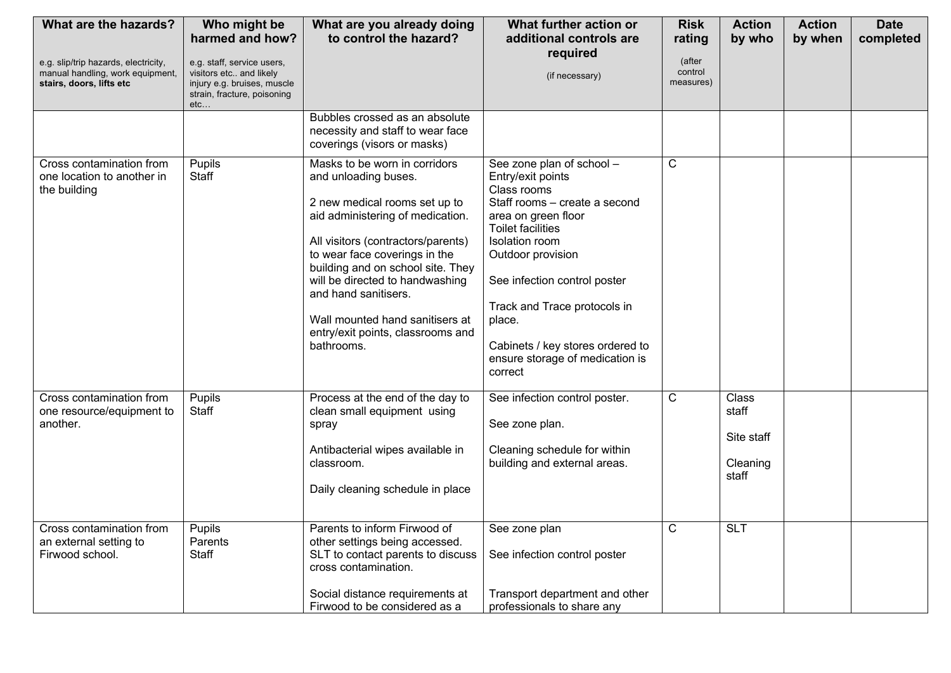| What are the hazards?                                                                                | Who might be<br>harmed and how?                                                                                            | What are you already doing<br>to control the hazard?                                                                                                                                                                                                                                                                                                                                    | What further action or<br>additional controls are                                                                                                                                                                                                                                                                                                    | <b>Risk</b><br>rating          | <b>Action</b><br>by who                           | <b>Action</b><br>by when | <b>Date</b><br>completed |
|------------------------------------------------------------------------------------------------------|----------------------------------------------------------------------------------------------------------------------------|-----------------------------------------------------------------------------------------------------------------------------------------------------------------------------------------------------------------------------------------------------------------------------------------------------------------------------------------------------------------------------------------|------------------------------------------------------------------------------------------------------------------------------------------------------------------------------------------------------------------------------------------------------------------------------------------------------------------------------------------------------|--------------------------------|---------------------------------------------------|--------------------------|--------------------------|
| e.g. slip/trip hazards, electricity,<br>manual handling, work equipment,<br>stairs, doors, lifts etc | e.g. staff, service users,<br>visitors etc and likely<br>injury e.g. bruises, muscle<br>strain, fracture, poisoning<br>etc |                                                                                                                                                                                                                                                                                                                                                                                         | required<br>(if necessary)                                                                                                                                                                                                                                                                                                                           | (after<br>control<br>measures) |                                                   |                          |                          |
|                                                                                                      |                                                                                                                            | Bubbles crossed as an absolute<br>necessity and staff to wear face<br>coverings (visors or masks)                                                                                                                                                                                                                                                                                       |                                                                                                                                                                                                                                                                                                                                                      |                                |                                                   |                          |                          |
| Cross contamination from<br>one location to another in<br>the building                               | Pupils<br>Staff                                                                                                            | Masks to be worn in corridors<br>and unloading buses.<br>2 new medical rooms set up to<br>aid administering of medication.<br>All visitors (contractors/parents)<br>to wear face coverings in the<br>building and on school site. They<br>will be directed to handwashing<br>and hand sanitisers.<br>Wall mounted hand sanitisers at<br>entry/exit points, classrooms and<br>bathrooms. | See zone plan of school -<br>Entry/exit points<br>Class rooms<br>Staff rooms - create a second<br>area on green floor<br><b>Toilet facilities</b><br>Isolation room<br>Outdoor provision<br>See infection control poster<br>Track and Trace protocols in<br>place.<br>Cabinets / key stores ordered to<br>ensure storage of medication is<br>correct | $\mathsf{C}$                   |                                                   |                          |                          |
| Cross contamination from<br>one resource/equipment to<br>another.                                    | Pupils<br><b>Staff</b>                                                                                                     | Process at the end of the day to<br>clean small equipment using<br>spray<br>Antibacterial wipes available in<br>classroom.<br>Daily cleaning schedule in place                                                                                                                                                                                                                          | See infection control poster.<br>See zone plan.<br>Cleaning schedule for within<br>building and external areas.                                                                                                                                                                                                                                      | $\mathsf{C}$                   | Class<br>staff<br>Site staff<br>Cleaning<br>staff |                          |                          |
| Cross contamination from<br>an external setting to<br>Firwood school.                                | Pupils<br>Parents<br>Staff                                                                                                 | Parents to inform Firwood of<br>other settings being accessed.<br>SLT to contact parents to discuss<br>cross contamination.<br>Social distance requirements at<br>Firwood to be considered as a                                                                                                                                                                                         | See zone plan<br>See infection control poster<br>Transport department and other<br>professionals to share any                                                                                                                                                                                                                                        | C                              | <b>SLT</b>                                        |                          |                          |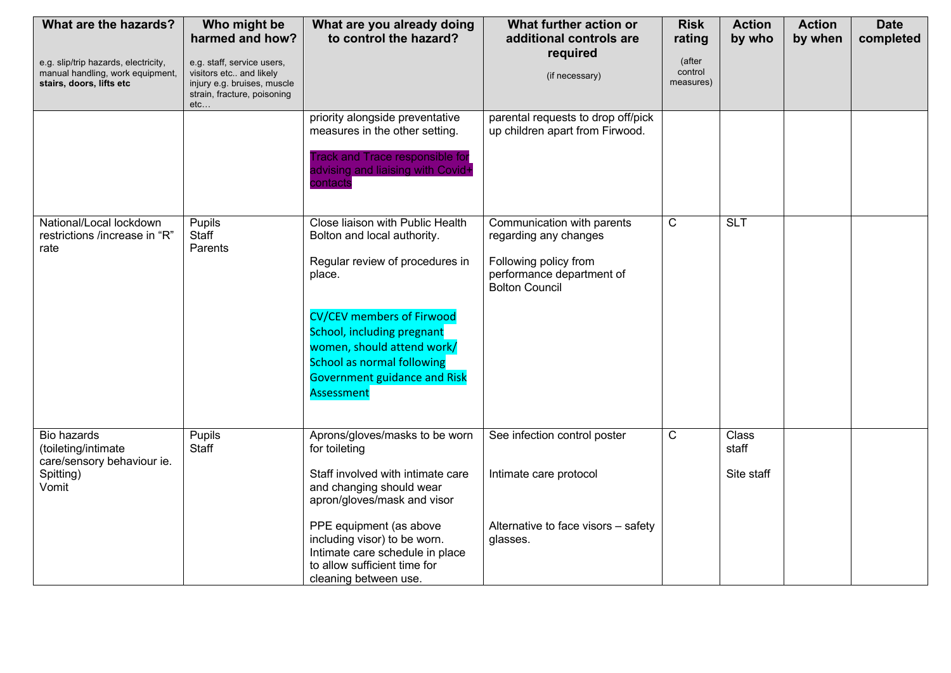| What are the hazards?                                                                                | Who might be<br>harmed and how?                                                                                            | What are you already doing<br>to control the hazard?                                                                                                                                                                                                                                                   | What further action or<br>additional controls are                                                                                  | <b>Risk</b><br>rating          | <b>Action</b><br>by who      | <b>Action</b><br>by when | <b>Date</b><br>completed |
|------------------------------------------------------------------------------------------------------|----------------------------------------------------------------------------------------------------------------------------|--------------------------------------------------------------------------------------------------------------------------------------------------------------------------------------------------------------------------------------------------------------------------------------------------------|------------------------------------------------------------------------------------------------------------------------------------|--------------------------------|------------------------------|--------------------------|--------------------------|
| e.g. slip/trip hazards, electricity,<br>manual handling, work equipment,<br>stairs, doors, lifts etc | e.g. staff, service users,<br>visitors etc and likely<br>injury e.g. bruises, muscle<br>strain, fracture, poisoning<br>etc |                                                                                                                                                                                                                                                                                                        | required<br>(if necessary)                                                                                                         | (after<br>control<br>measures) |                              |                          |                          |
|                                                                                                      |                                                                                                                            | priority alongside preventative<br>measures in the other setting.<br><b>Track and Trace responsible for</b><br>advising and liaising with Covid+<br>contacts                                                                                                                                           | parental requests to drop off/pick<br>up children apart from Firwood.                                                              |                                |                              |                          |                          |
| National/Local lockdown<br>restrictions /increase in "R"<br>rate                                     | Pupils<br><b>Staff</b><br>Parents                                                                                          | Close liaison with Public Health<br>Bolton and local authority.<br>Regular review of procedures in<br>place.<br><b>CV/CEV members of Firwood</b><br>School, including pregnant<br>women, should attend work/<br><b>School as normal following</b><br><b>Government guidance and Risk</b><br>Assessment | Communication with parents<br>regarding any changes<br>Following policy from<br>performance department of<br><b>Bolton Council</b> | $\overline{C}$                 | <b>SLT</b>                   |                          |                          |
| Bio hazards<br>(toileting/intimate<br>care/sensory behaviour ie.<br>Spitting)<br>Vomit               | Pupils<br>Staff                                                                                                            | Aprons/gloves/masks to be worn<br>for toileting<br>Staff involved with intimate care<br>and changing should wear<br>apron/gloves/mask and visor<br>PPE equipment (as above<br>including visor) to be worn.<br>Intimate care schedule in place<br>to allow sufficient time for<br>cleaning between use. | See infection control poster<br>Intimate care protocol<br>Alternative to face visors - safety<br>glasses.                          | $\overline{C}$                 | Class<br>staff<br>Site staff |                          |                          |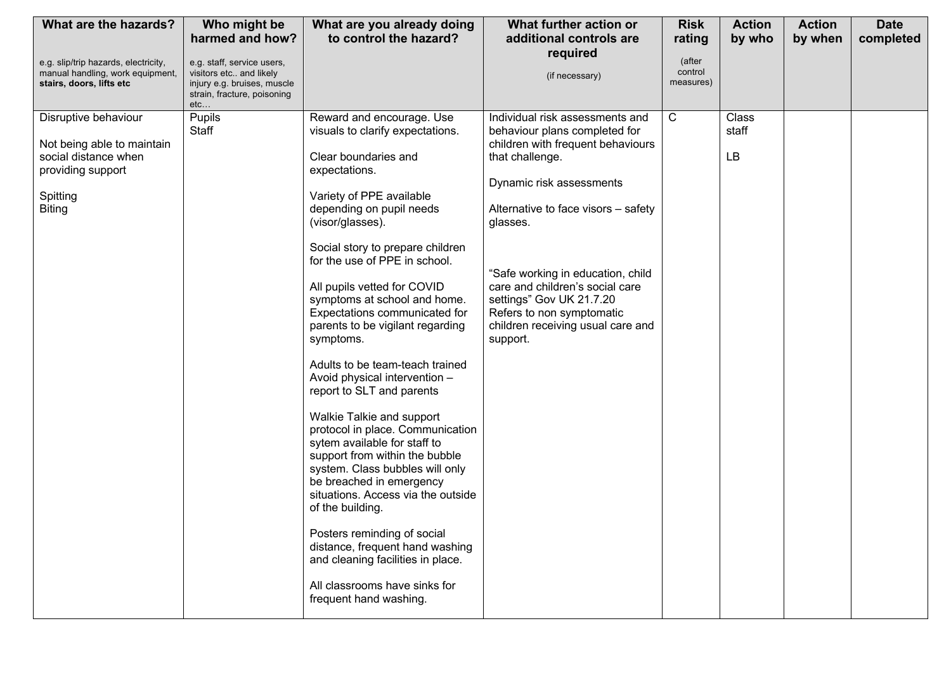| What are the hazards?                                                                                                        | Who might be                                                                                                               | What are you already doing                                                                                                                                                                                                                                                                                                                                                                                                                                                                                                                                                                                                                                                                                                                                                                                                                                                                                                              | What further action or                                                                                                                                                                                                                                                                                                                                                                    | <b>Risk</b>                    | <b>Action</b>        | <b>Action</b> | <b>Date</b> |
|------------------------------------------------------------------------------------------------------------------------------|----------------------------------------------------------------------------------------------------------------------------|-----------------------------------------------------------------------------------------------------------------------------------------------------------------------------------------------------------------------------------------------------------------------------------------------------------------------------------------------------------------------------------------------------------------------------------------------------------------------------------------------------------------------------------------------------------------------------------------------------------------------------------------------------------------------------------------------------------------------------------------------------------------------------------------------------------------------------------------------------------------------------------------------------------------------------------------|-------------------------------------------------------------------------------------------------------------------------------------------------------------------------------------------------------------------------------------------------------------------------------------------------------------------------------------------------------------------------------------------|--------------------------------|----------------------|---------------|-------------|
|                                                                                                                              | harmed and how?                                                                                                            | to control the hazard?                                                                                                                                                                                                                                                                                                                                                                                                                                                                                                                                                                                                                                                                                                                                                                                                                                                                                                                  | additional controls are                                                                                                                                                                                                                                                                                                                                                                   | rating                         | by who               | by when       | completed   |
| e.g. slip/trip hazards, electricity,<br>manual handling, work equipment,<br>stairs, doors, lifts etc                         | e.g. staff, service users,<br>visitors etc and likely<br>injury e.g. bruises, muscle<br>strain, fracture, poisoning<br>etc |                                                                                                                                                                                                                                                                                                                                                                                                                                                                                                                                                                                                                                                                                                                                                                                                                                                                                                                                         | required<br>(if necessary)                                                                                                                                                                                                                                                                                                                                                                | (after<br>control<br>measures) |                      |               |             |
| Disruptive behaviour<br>Not being able to maintain<br>social distance when<br>providing support<br>Spitting<br><b>Biting</b> | Pupils<br><b>Staff</b>                                                                                                     | Reward and encourage. Use<br>visuals to clarify expectations.<br>Clear boundaries and<br>expectations.<br>Variety of PPE available<br>depending on pupil needs<br>(visor/glasses).<br>Social story to prepare children<br>for the use of PPE in school.<br>All pupils vetted for COVID<br>symptoms at school and home.<br>Expectations communicated for<br>parents to be vigilant regarding<br>symptoms.<br>Adults to be team-teach trained<br>Avoid physical intervention -<br>report to SLT and parents<br>Walkie Talkie and support<br>protocol in place. Communication<br>sytem available for staff to<br>support from within the bubble<br>system. Class bubbles will only<br>be breached in emergency<br>situations. Access via the outside<br>of the building.<br>Posters reminding of social<br>distance, frequent hand washing<br>and cleaning facilities in place.<br>All classrooms have sinks for<br>frequent hand washing. | Individual risk assessments and<br>behaviour plans completed for<br>children with frequent behaviours<br>that challenge.<br>Dynamic risk assessments<br>Alternative to face visors - safety<br>glasses.<br>"Safe working in education, child<br>care and children's social care<br>settings" Gov UK 21.7.20<br>Refers to non symptomatic<br>children receiving usual care and<br>support. | $\mathsf{C}$                   | Class<br>staff<br>LB |               |             |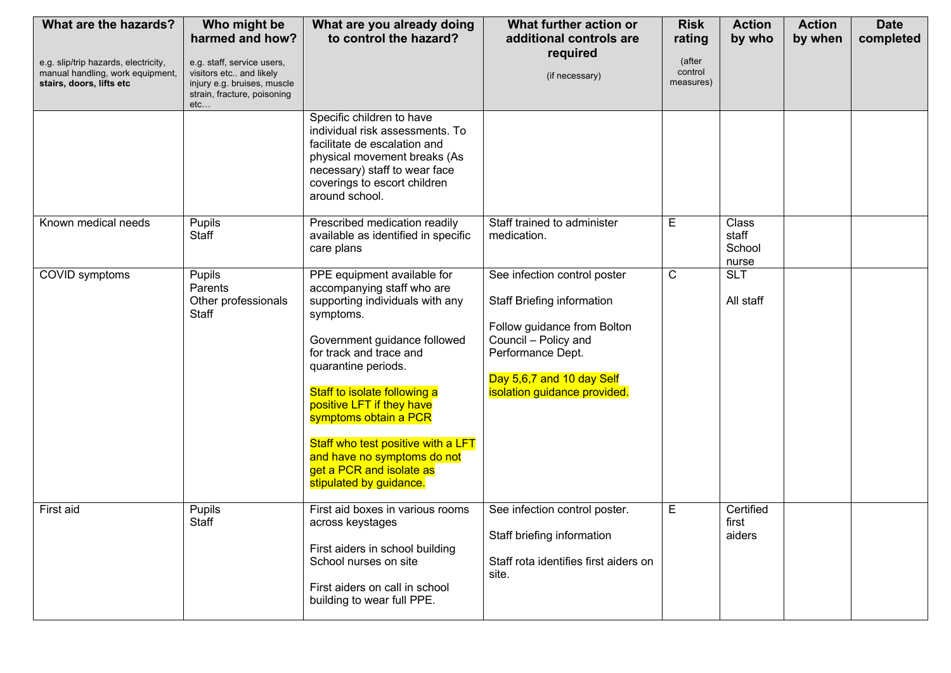| What are the hazards?                                                                                | Who might be<br>harmed and how?                                                                                            | What are you already doing<br>to control the hazard?                                                                                                                                                                                                                                                                                                                                                          | What further action or<br>additional controls are                                                                                                                                                          | <b>Risk</b><br>rating          | <b>Action</b><br>by who           | <b>Action</b><br>by when | <b>Date</b><br>completed |
|------------------------------------------------------------------------------------------------------|----------------------------------------------------------------------------------------------------------------------------|---------------------------------------------------------------------------------------------------------------------------------------------------------------------------------------------------------------------------------------------------------------------------------------------------------------------------------------------------------------------------------------------------------------|------------------------------------------------------------------------------------------------------------------------------------------------------------------------------------------------------------|--------------------------------|-----------------------------------|--------------------------|--------------------------|
| e.g. slip/trip hazards, electricity,<br>manual handling, work equipment,<br>stairs, doors, lifts etc | e.g. staff, service users,<br>visitors etc and likely<br>injury e.g. bruises, muscle<br>strain, fracture, poisoning<br>etc |                                                                                                                                                                                                                                                                                                                                                                                                               | required<br>(if necessary)                                                                                                                                                                                 | (after<br>control<br>measures) |                                   |                          |                          |
|                                                                                                      |                                                                                                                            | Specific children to have<br>individual risk assessments. To<br>facilitate de escalation and<br>physical movement breaks (As<br>necessary) staff to wear face<br>coverings to escort children<br>around school.                                                                                                                                                                                               |                                                                                                                                                                                                            |                                |                                   |                          |                          |
| Known medical needs                                                                                  | Pupils<br>Staff                                                                                                            | Prescribed medication readily<br>available as identified in specific<br>care plans                                                                                                                                                                                                                                                                                                                            | Staff trained to administer<br>medication.                                                                                                                                                                 | E                              | Class<br>staff<br>School<br>nurse |                          |                          |
| COVID symptoms                                                                                       | Pupils<br>Parents<br>Other professionals<br><b>Staff</b>                                                                   | PPE equipment available for<br>accompanying staff who are<br>supporting individuals with any<br>symptoms.<br>Government guidance followed<br>for track and trace and<br>quarantine periods.<br>Staff to isolate following a<br>positive LFT if they have<br>symptoms obtain a PCR<br>Staff who test positive with a LFT<br>and have no symptoms do not<br>get a PCR and isolate as<br>stipulated by guidance. | See infection control poster<br><b>Staff Briefing information</b><br>Follow guidance from Bolton<br>Council - Policy and<br>Performance Dept.<br>Day 5,6,7 and 10 day Self<br>isolation guidance provided. | $\mathbf C$                    | <b>SLT</b><br>All staff           |                          |                          |
| First aid                                                                                            | Pupils<br>Staff                                                                                                            | First aid boxes in various rooms<br>across keystages<br>First aiders in school building<br>School nurses on site<br>First aiders on call in school<br>building to wear full PPE.                                                                                                                                                                                                                              | See infection control poster.<br>Staff briefing information<br>Staff rota identifies first aiders on<br>site.                                                                                              | E                              | Certified<br>first<br>aiders      |                          |                          |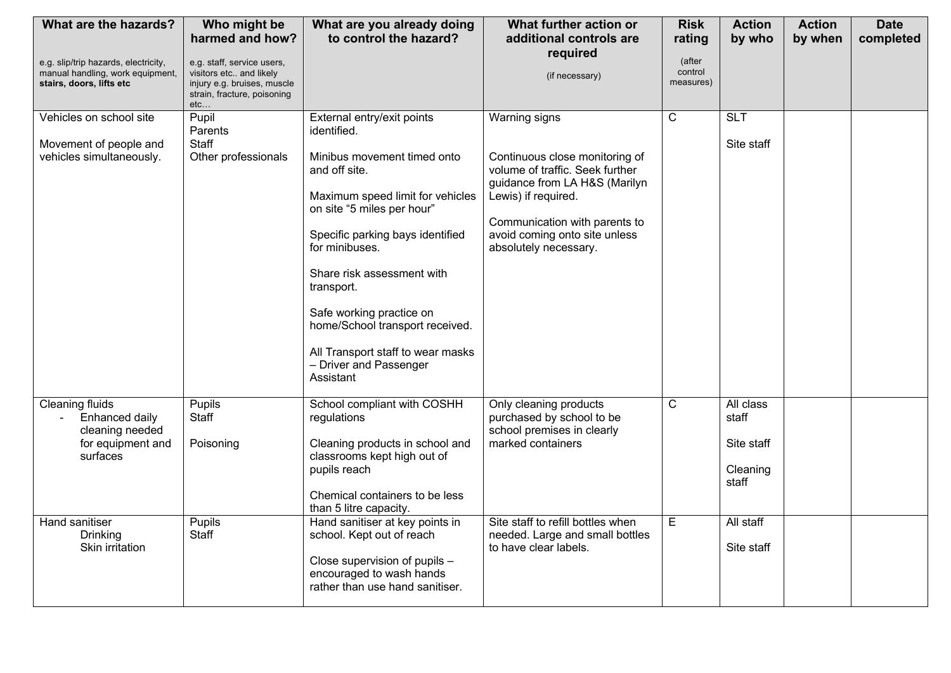| What are the hazards?                                                                                | Who might be<br>harmed and how?                                                      | What are you already doing<br>to control the hazard?                                                                                                                                                                                                          | What further action or<br>additional controls are                                                                                                                                                                                     | <b>Risk</b><br>rating          | <b>Action</b><br>by who                               | <b>Action</b><br>by when | <b>Date</b><br>completed |
|------------------------------------------------------------------------------------------------------|--------------------------------------------------------------------------------------|---------------------------------------------------------------------------------------------------------------------------------------------------------------------------------------------------------------------------------------------------------------|---------------------------------------------------------------------------------------------------------------------------------------------------------------------------------------------------------------------------------------|--------------------------------|-------------------------------------------------------|--------------------------|--------------------------|
| e.g. slip/trip hazards, electricity,<br>manual handling, work equipment,<br>stairs, doors, lifts etc | e.g. staff, service users,<br>visitors etc and likely<br>injury e.g. bruises, muscle |                                                                                                                                                                                                                                                               | required<br>(if necessary)                                                                                                                                                                                                            | (after<br>control<br>measures) |                                                       |                          |                          |
|                                                                                                      | strain, fracture, poisoning<br>etc                                                   |                                                                                                                                                                                                                                                               |                                                                                                                                                                                                                                       |                                |                                                       |                          |                          |
| Vehicles on school site<br>Movement of people and<br>vehicles simultaneously.                        | Pupil<br>Parents<br>Staff<br>Other professionals                                     | External entry/exit points<br>identified.<br>Minibus movement timed onto<br>and off site.<br>Maximum speed limit for vehicles<br>on site "5 miles per hour"<br>Specific parking bays identified<br>for minibuses.<br>Share risk assessment with<br>transport. | Warning signs<br>Continuous close monitoring of<br>volume of traffic. Seek further<br>guidance from LA H&S (Marilyn<br>Lewis) if required.<br>Communication with parents to<br>avoid coming onto site unless<br>absolutely necessary. | C                              | <b>SLT</b><br>Site staff                              |                          |                          |
|                                                                                                      |                                                                                      | Safe working practice on<br>home/School transport received.<br>All Transport staff to wear masks<br>- Driver and Passenger<br>Assistant                                                                                                                       |                                                                                                                                                                                                                                       |                                |                                                       |                          |                          |
| <b>Cleaning fluids</b><br>Enhanced daily<br>cleaning needed<br>for equipment and<br>surfaces         | Pupils<br>Staff<br>Poisoning                                                         | School compliant with COSHH<br>regulations<br>Cleaning products in school and<br>classrooms kept high out of<br>pupils reach<br>Chemical containers to be less<br>than 5 litre capacity.                                                                      | Only cleaning products<br>purchased by school to be<br>school premises in clearly<br>marked containers                                                                                                                                | $\mathsf{C}$                   | All class<br>staff<br>Site staff<br>Cleaning<br>staff |                          |                          |
| <b>Hand sanitiser</b><br>Drinking<br>Skin irritation                                                 | Pupils<br>Staff                                                                      | Hand sanitiser at key points in<br>school. Kept out of reach<br>Close supervision of pupils -<br>encouraged to wash hands<br>rather than use hand sanitiser.                                                                                                  | Site staff to refill bottles when<br>needed. Large and small bottles<br>to have clear labels.                                                                                                                                         | E                              | All staff<br>Site staff                               |                          |                          |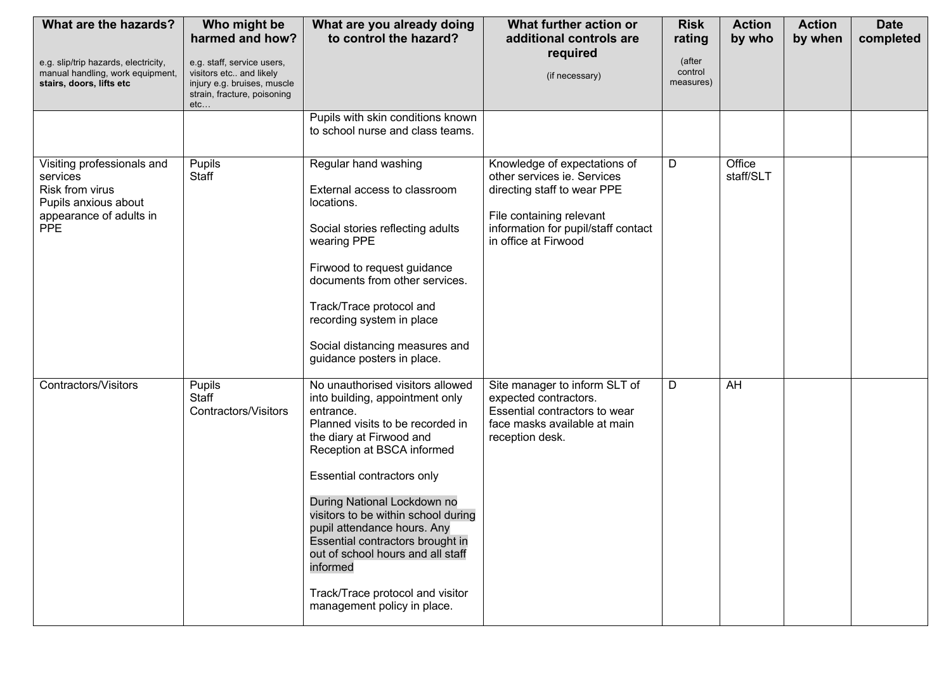| What are the hazards?<br>e.g. slip/trip hazards, electricity,<br>manual handling, work equipment,                          | Who might be<br>harmed and how?<br>e.g. staff, service users,<br>visitors etc and likely | What are you already doing<br>to control the hazard?                                                                                                                                                                                                                                                                                                                                                                                                                      | What further action or<br>additional controls are<br>required<br>(if necessary)                                                                                                       | <b>Risk</b><br>rating<br>(after<br>control | <b>Action</b><br>by who | <b>Action</b><br>by when | <b>Date</b><br>completed |
|----------------------------------------------------------------------------------------------------------------------------|------------------------------------------------------------------------------------------|---------------------------------------------------------------------------------------------------------------------------------------------------------------------------------------------------------------------------------------------------------------------------------------------------------------------------------------------------------------------------------------------------------------------------------------------------------------------------|---------------------------------------------------------------------------------------------------------------------------------------------------------------------------------------|--------------------------------------------|-------------------------|--------------------------|--------------------------|
| stairs, doors, lifts etc                                                                                                   | injury e.g. bruises, muscle<br>strain, fracture, poisoning<br>etc                        |                                                                                                                                                                                                                                                                                                                                                                                                                                                                           |                                                                                                                                                                                       | measures)                                  |                         |                          |                          |
|                                                                                                                            |                                                                                          | Pupils with skin conditions known<br>to school nurse and class teams.                                                                                                                                                                                                                                                                                                                                                                                                     |                                                                                                                                                                                       |                                            |                         |                          |                          |
| Visiting professionals and<br>services<br>Risk from virus<br>Pupils anxious about<br>appearance of adults in<br><b>PPE</b> | Pupils<br>Staff                                                                          | Regular hand washing<br>External access to classroom<br>locations.<br>Social stories reflecting adults<br>wearing PPE<br>Firwood to request guidance<br>documents from other services.<br>Track/Trace protocol and<br>recording system in place<br>Social distancing measures and<br>guidance posters in place.                                                                                                                                                           | Knowledge of expectations of<br>other services ie. Services<br>directing staff to wear PPE<br>File containing relevant<br>information for pupil/staff contact<br>in office at Firwood | D                                          | Office<br>staff/SLT     |                          |                          |
| Contractors/Visitors                                                                                                       | Pupils<br><b>Staff</b><br>Contractors/Visitors                                           | No unauthorised visitors allowed<br>into building, appointment only<br>entrance.<br>Planned visits to be recorded in<br>the diary at Firwood and<br>Reception at BSCA informed<br>Essential contractors only<br>During National Lockdown no<br>visitors to be within school during<br>pupil attendance hours. Any<br>Essential contractors brought in<br>out of school hours and all staff<br>informed<br>Track/Trace protocol and visitor<br>management policy in place. | Site manager to inform SLT of<br>expected contractors.<br>Essential contractors to wear<br>face masks available at main<br>reception desk.                                            | D                                          | AH                      |                          |                          |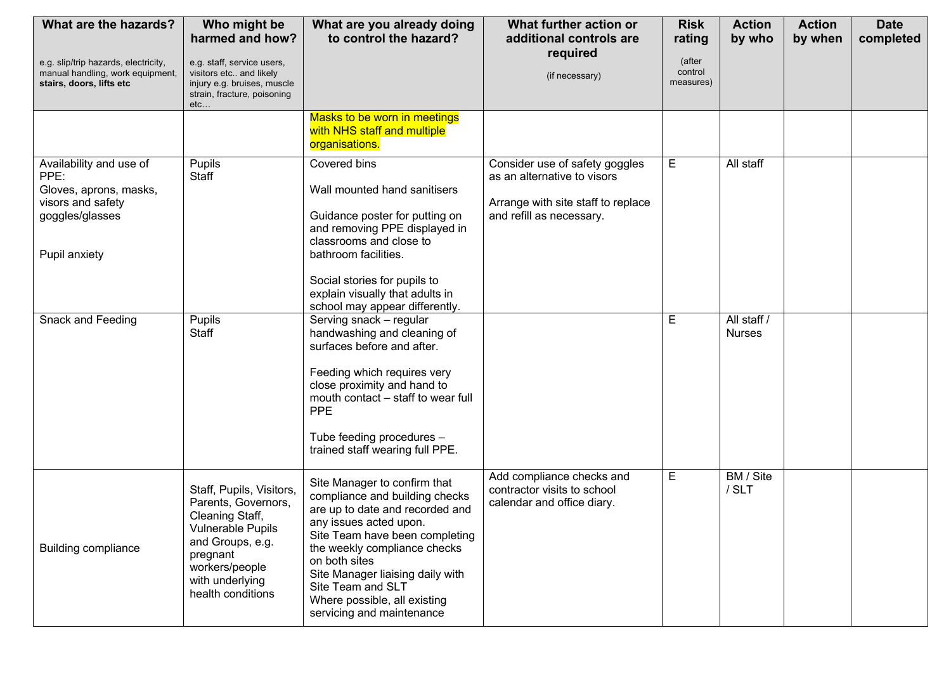| What are the hazards?                                                                                              | Who might be<br>harmed and how?                                                                                                                                                          | What are you already doing<br>to control the hazard?                                                                                                                                                                                                                                                                                 | What further action or<br>additional controls are                                                                               | <b>Risk</b><br>rating          | <b>Action</b><br>by who      | <b>Action</b><br>by when | <b>Date</b><br>completed |
|--------------------------------------------------------------------------------------------------------------------|------------------------------------------------------------------------------------------------------------------------------------------------------------------------------------------|--------------------------------------------------------------------------------------------------------------------------------------------------------------------------------------------------------------------------------------------------------------------------------------------------------------------------------------|---------------------------------------------------------------------------------------------------------------------------------|--------------------------------|------------------------------|--------------------------|--------------------------|
| e.g. slip/trip hazards, electricity,<br>manual handling, work equipment,<br>stairs, doors, lifts etc               | e.g. staff, service users,<br>visitors etc and likely<br>injury e.g. bruises, muscle<br>strain, fracture, poisoning<br>etc                                                               |                                                                                                                                                                                                                                                                                                                                      | required<br>(if necessary)                                                                                                      | (after<br>control<br>measures) |                              |                          |                          |
|                                                                                                                    |                                                                                                                                                                                          | Masks to be worn in meetings<br>with NHS staff and multiple<br>organisations.                                                                                                                                                                                                                                                        |                                                                                                                                 |                                |                              |                          |                          |
| Availability and use of<br>PPE:<br>Gloves, aprons, masks,<br>visors and safety<br>goggles/glasses<br>Pupil anxiety | Pupils<br>Staff                                                                                                                                                                          | Covered bins<br>Wall mounted hand sanitisers<br>Guidance poster for putting on<br>and removing PPE displayed in<br>classrooms and close to<br>bathroom facilities.<br>Social stories for pupils to<br>explain visually that adults in<br>school may appear differently.                                                              | Consider use of safety goggles<br>as an alternative to visors<br>Arrange with site staff to replace<br>and refill as necessary. | E                              | All staff                    |                          |                          |
| Snack and Feeding                                                                                                  | Pupils<br>Staff                                                                                                                                                                          | Serving snack - regular<br>handwashing and cleaning of<br>surfaces before and after.<br>Feeding which requires very<br>close proximity and hand to<br>mouth contact - staff to wear full<br><b>PPE</b><br>Tube feeding procedures -<br>trained staff wearing full PPE.                                                               |                                                                                                                                 | E                              | All staff /<br><b>Nurses</b> |                          |                          |
| <b>Building compliance</b>                                                                                         | Staff, Pupils, Visitors,<br>Parents, Governors,<br>Cleaning Staff,<br><b>Vulnerable Pupils</b><br>and Groups, e.g.<br>pregnant<br>workers/people<br>with underlying<br>health conditions | Site Manager to confirm that<br>compliance and building checks<br>are up to date and recorded and<br>any issues acted upon.<br>Site Team have been completing<br>the weekly compliance checks<br>on both sites<br>Site Manager liaising daily with<br>Site Team and SLT<br>Where possible, all existing<br>servicing and maintenance | Add compliance checks and<br>contractor visits to school<br>calendar and office diary.                                          | E                              | BM / Site<br>/ SLT           |                          |                          |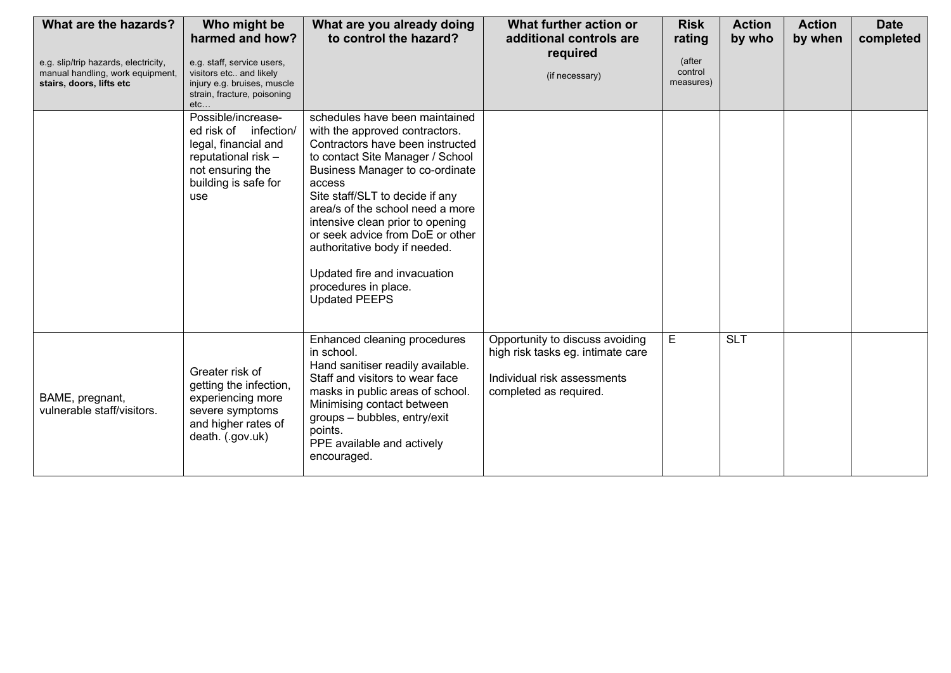| What are the hazards?<br>e.g. slip/trip hazards, electricity,<br>manual handling, work equipment,<br>stairs, doors, lifts etc | Who might be<br>harmed and how?<br>e.g. staff, service users,<br>visitors etc and likely<br>injury e.g. bruises, muscle                                                                  | What are you already doing<br>to control the hazard?                                                                                                                                                                                                                                                                                                                                                                                                  | What further action or<br>additional controls are<br>required<br>(if necessary)                                               | <b>Risk</b><br>rating<br>(after<br>control<br>measures) | <b>Action</b><br>by who | <b>Action</b><br>by when | <b>Date</b><br>completed |
|-------------------------------------------------------------------------------------------------------------------------------|------------------------------------------------------------------------------------------------------------------------------------------------------------------------------------------|-------------------------------------------------------------------------------------------------------------------------------------------------------------------------------------------------------------------------------------------------------------------------------------------------------------------------------------------------------------------------------------------------------------------------------------------------------|-------------------------------------------------------------------------------------------------------------------------------|---------------------------------------------------------|-------------------------|--------------------------|--------------------------|
|                                                                                                                               | strain, fracture, poisoning<br>$etc.$ .<br>Possible/increase-<br>ed risk of infection/<br>legal, financial and<br>reputational risk -<br>not ensuring the<br>building is safe for<br>use | schedules have been maintained<br>with the approved contractors.<br>Contractors have been instructed<br>to contact Site Manager / School<br>Business Manager to co-ordinate<br>access<br>Site staff/SLT to decide if any<br>area/s of the school need a more<br>intensive clean prior to opening<br>or seek advice from DoE or other<br>authoritative body if needed.<br>Updated fire and invacuation<br>procedures in place.<br><b>Updated PEEPS</b> |                                                                                                                               |                                                         |                         |                          |                          |
| BAME, pregnant,<br>vulnerable staff/visitors.                                                                                 | Greater risk of<br>getting the infection,<br>experiencing more<br>severe symptoms<br>and higher rates of<br>death. (.gov.uk)                                                             | Enhanced cleaning procedures<br>in school.<br>Hand sanitiser readily available.<br>Staff and visitors to wear face<br>masks in public areas of school.<br>Minimising contact between<br>groups - bubbles, entry/exit<br>points.<br>PPE available and actively<br>encouraged.                                                                                                                                                                          | Opportunity to discuss avoiding<br>high risk tasks eg. intimate care<br>Individual risk assessments<br>completed as required. | E                                                       | <b>SLT</b>              |                          |                          |